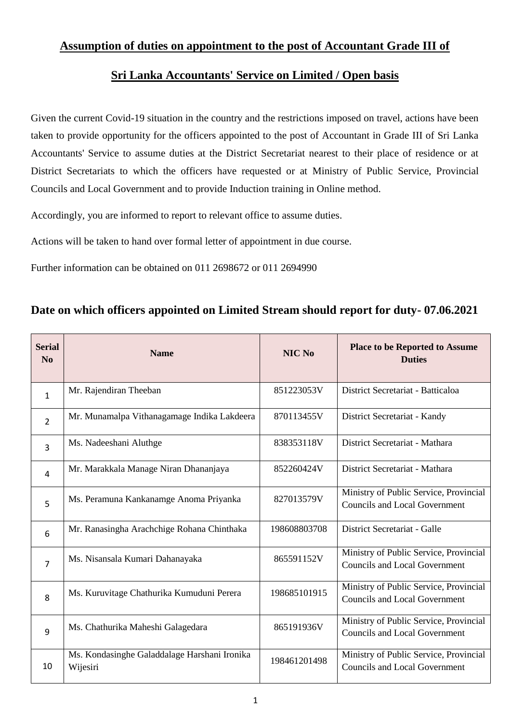## **Assumption of duties on appointment to the post of Accountant Grade III of**

## **Sri Lanka Accountants' Service on Limited / Open basis**

Given the current Covid-19 situation in the country and the restrictions imposed on travel, actions have been taken to provide opportunity for the officers appointed to the post of Accountant in Grade III of Sri Lanka Accountants' Service to assume duties at the District Secretariat nearest to their place of residence or at District Secretariats to which the officers have requested or at Ministry of Public Service, Provincial Councils and Local Government and to provide Induction training in Online method.

Accordingly, you are informed to report to relevant office to assume duties.

Actions will be taken to hand over formal letter of appointment in due course.

Further information can be obtained on 011 2698672 or 011 2694990

## **Date on which officers appointed on Limited Stream should report for duty- 07.06.2021**

| <b>Serial</b><br>No | <b>Name</b>                                              | NIC No       | <b>Place to be Reported to Assume</b><br><b>Duties</b>                         |
|---------------------|----------------------------------------------------------|--------------|--------------------------------------------------------------------------------|
| $\mathbf{1}$        | Mr. Rajendiran Theeban                                   | 851223053V   | District Secretariat - Batticaloa                                              |
| $\overline{2}$      | Mr. Munamalpa Vithanagamage Indika Lakdeera              | 870113455V   | District Secretariat - Kandy                                                   |
| $\overline{3}$      | Ms. Nadeeshani Aluthge                                   | 838353118V   | District Secretariat - Mathara                                                 |
| 4                   | Mr. Marakkala Manage Niran Dhananjaya                    | 852260424V   | District Secretariat - Mathara                                                 |
| 5                   | Ms. Peramuna Kankanamge Anoma Priyanka                   | 827013579V   | Ministry of Public Service, Provincial<br><b>Councils and Local Government</b> |
| 6                   | Mr. Ranasingha Arachchige Rohana Chinthaka               | 198608803708 | District Secretariat - Galle                                                   |
| $\overline{7}$      | Ms. Nisansala Kumari Dahanayaka                          | 865591152V   | Ministry of Public Service, Provincial<br><b>Councils and Local Government</b> |
| 8                   | Ms. Kuruvitage Chathurika Kumuduni Perera                | 198685101915 | Ministry of Public Service, Provincial<br><b>Councils and Local Government</b> |
| 9                   | Ms. Chathurika Maheshi Galagedara                        | 865191936V   | Ministry of Public Service, Provincial<br><b>Councils and Local Government</b> |
| 10                  | Ms. Kondasinghe Galaddalage Harshani Ironika<br>Wijesiri | 198461201498 | Ministry of Public Service, Provincial<br><b>Councils and Local Government</b> |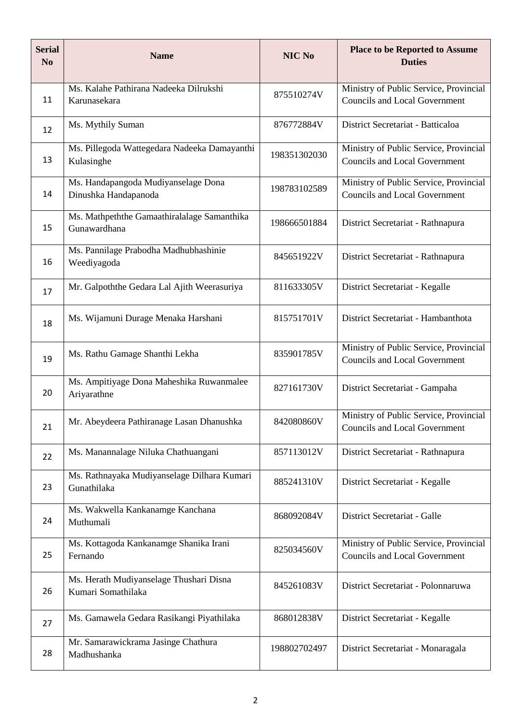| <b>Serial</b><br>N <sub>0</sub> | <b>Name</b>                                                   | NIC No       | <b>Place to be Reported to Assume</b><br><b>Duties</b>                         |
|---------------------------------|---------------------------------------------------------------|--------------|--------------------------------------------------------------------------------|
| 11                              | Ms. Kalahe Pathirana Nadeeka Dilrukshi<br>Karunasekara        | 875510274V   | Ministry of Public Service, Provincial<br><b>Councils and Local Government</b> |
| 12                              | Ms. Mythily Suman                                             | 876772884V   | District Secretariat - Batticaloa                                              |
| 13                              | Ms. Pillegoda Wattegedara Nadeeka Damayanthi<br>Kulasinghe    | 198351302030 | Ministry of Public Service, Provincial<br><b>Councils and Local Government</b> |
| 14                              | Ms. Handapangoda Mudiyanselage Dona<br>Dinushka Handapanoda   | 198783102589 | Ministry of Public Service, Provincial<br><b>Councils and Local Government</b> |
| 15                              | Ms. Mathpeththe Gamaathiralalage Samanthika<br>Gunawardhana   | 198666501884 | District Secretariat - Rathnapura                                              |
| 16                              | Ms. Pannilage Prabodha Madhubhashinie<br>Weediyagoda          | 845651922V   | District Secretariat - Rathnapura                                              |
| 17                              | Mr. Galpoththe Gedara Lal Ajith Weerasuriya                   | 811633305V   | District Secretariat - Kegalle                                                 |
| 18                              | Ms. Wijamuni Durage Menaka Harshani                           | 815751701V   | District Secretariat - Hambanthota                                             |
| 19                              | Ms. Rathu Gamage Shanthi Lekha                                | 835901785V   | Ministry of Public Service, Provincial<br><b>Councils and Local Government</b> |
| 20                              | Ms. Ampitiyage Dona Maheshika Ruwanmalee<br>Ariyarathne       | 827161730V   | District Secretariat - Gampaha                                                 |
| 21                              | Mr. Abeydeera Pathiranage Lasan Dhanushka                     | 842080860V   | Ministry of Public Service, Provincial<br><b>Councils and Local Government</b> |
| 22                              | Ms. Manannalage Niluka Chathuangani                           | 857113012V   | District Secretariat - Rathnapura                                              |
| 23                              | Ms. Rathnayaka Mudiyanselage Dilhara Kumari<br>Gunathilaka    | 885241310V   | District Secretariat - Kegalle                                                 |
| 24                              | Ms. Wakwella Kankanamge Kanchana<br>Muthumali                 | 868092084V   | District Secretariat - Galle                                                   |
| 25                              | Ms. Kottagoda Kankanamge Shanika Irani<br>Fernando            | 825034560V   | Ministry of Public Service, Provincial<br><b>Councils and Local Government</b> |
| 26                              | Ms. Herath Mudiyanselage Thushari Disna<br>Kumari Somathilaka | 845261083V   | District Secretariat - Polonnaruwa                                             |
| 27                              | Ms. Gamawela Gedara Rasikangi Piyathilaka                     | 868012838V   | District Secretariat - Kegalle                                                 |
| 28                              | Mr. Samarawickrama Jasinge Chathura<br>Madhushanka            | 198802702497 | District Secretariat - Monaragala                                              |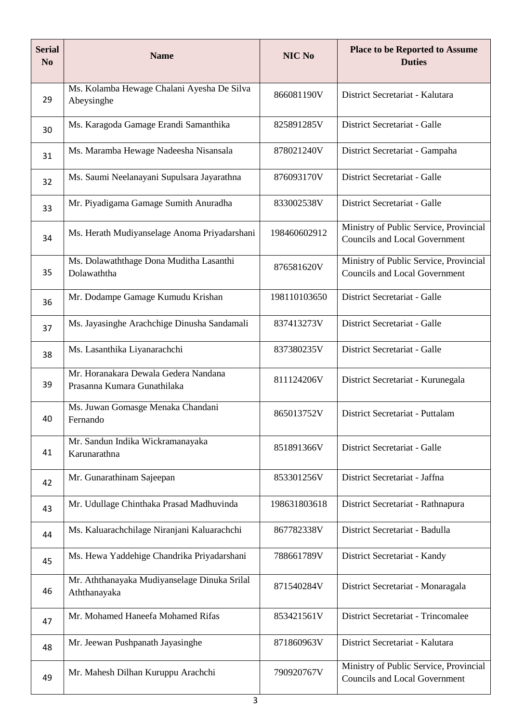| <b>Serial</b><br>N <sub>0</sub> | <b>Name</b>                                                         | NIC No       | <b>Place to be Reported to Assume</b><br><b>Duties</b>                         |  |
|---------------------------------|---------------------------------------------------------------------|--------------|--------------------------------------------------------------------------------|--|
| 29                              | Ms. Kolamba Hewage Chalani Ayesha De Silva<br>Abeysinghe            | 866081190V   | District Secretariat - Kalutara                                                |  |
| 30                              | Ms. Karagoda Gamage Erandi Samanthika                               | 825891285V   | District Secretariat - Galle                                                   |  |
| 31                              | Ms. Maramba Hewage Nadeesha Nisansala                               | 878021240V   | District Secretariat - Gampaha                                                 |  |
| 32                              | Ms. Saumi Neelanayani Supulsara Jayarathna                          | 876093170V   | District Secretariat - Galle                                                   |  |
| 33                              | Mr. Piyadigama Gamage Sumith Anuradha                               | 833002538V   | District Secretariat - Galle                                                   |  |
| 34                              | Ms. Herath Mudiyanselage Anoma Priyadarshani                        | 198460602912 | Ministry of Public Service, Provincial<br><b>Councils and Local Government</b> |  |
| 35                              | Ms. Dolawaththage Dona Muditha Lasanthi<br>Dolawaththa              | 876581620V   | Ministry of Public Service, Provincial<br><b>Councils and Local Government</b> |  |
| 36                              | Mr. Dodampe Gamage Kumudu Krishan                                   | 198110103650 | District Secretariat - Galle                                                   |  |
| 37                              | Ms. Jayasinghe Arachchige Dinusha Sandamali                         | 837413273V   | District Secretariat - Galle                                                   |  |
| 38                              | Ms. Lasanthika Liyanarachchi                                        | 837380235V   | District Secretariat - Galle                                                   |  |
| 39                              | Mr. Horanakara Dewala Gedera Nandana<br>Prasanna Kumara Gunathilaka | 811124206V   | District Secretariat - Kurunegala                                              |  |
| 40                              | Ms. Juwan Gomasge Menaka Chandani<br>Fernando                       | 865013752V   | District Secretariat - Puttalam                                                |  |
| 41                              | Mr. Sandun Indika Wickramanayaka<br>Karunarathna                    | 851891366V   | District Secretariat - Galle                                                   |  |
| 42                              | Mr. Gunarathinam Sajeepan                                           | 853301256V   | District Secretariat - Jaffna                                                  |  |
| 43                              | Mr. Udullage Chinthaka Prasad Madhuvinda                            | 198631803618 | District Secretariat - Rathnapura                                              |  |
| 44                              | Ms. Kaluarachchilage Niranjani Kaluarachchi                         | 867782338V   | District Secretariat - Badulla                                                 |  |
| 45                              | Ms. Hewa Yaddehige Chandrika Priyadarshani                          | 788661789V   | District Secretariat - Kandy                                                   |  |
| 46                              | Mr. Aththanayaka Mudiyanselage Dinuka Srilal<br>Aththanayaka        | 871540284V   | District Secretariat - Monaragala                                              |  |
| 47                              | Mr. Mohamed Haneefa Mohamed Rifas                                   | 853421561V   | District Secretariat - Trincomalee                                             |  |
| 48                              | Mr. Jeewan Pushpanath Jayasinghe                                    | 871860963V   | District Secretariat - Kalutara                                                |  |
| 49                              | Mr. Mahesh Dilhan Kuruppu Arachchi                                  | 790920767V   | Ministry of Public Service, Provincial<br><b>Councils and Local Government</b> |  |
| 3                               |                                                                     |              |                                                                                |  |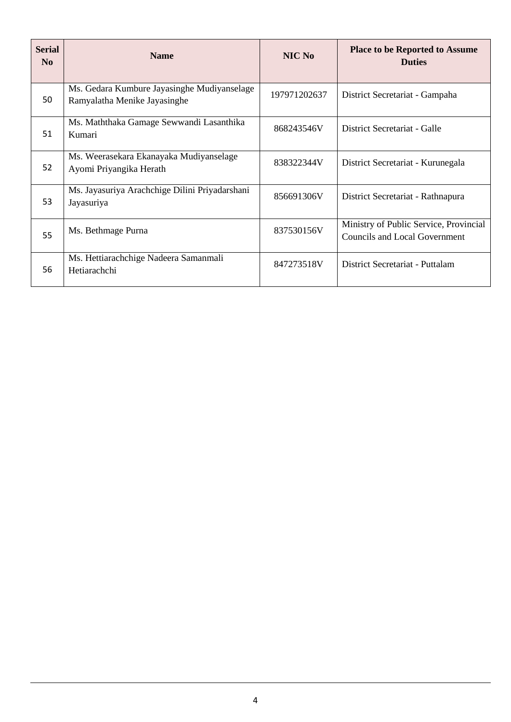| <b>Serial</b><br>N <sub>0</sub> | <b>Name</b>                                                                 | NIC No       | <b>Place to be Reported to Assume</b><br><b>Duties</b>                         |
|---------------------------------|-----------------------------------------------------------------------------|--------------|--------------------------------------------------------------------------------|
| 50                              | Ms. Gedara Kumbure Jayasinghe Mudiyanselage<br>Ramyalatha Menike Jayasinghe | 197971202637 | District Secretariat - Gampaha                                                 |
| 51                              | Ms. Maththaka Gamage Sewwandi Lasanthika<br>Kumari                          | 868243546V   | District Secretariat - Galle                                                   |
| 52                              | Ms. Weerasekara Ekanayaka Mudiyanselage<br>Ayomi Priyangika Herath          | 838322344V   | District Secretariat - Kurunegala                                              |
| 53                              | Ms. Jayasuriya Arachchige Dilini Priyadarshani<br>Jayasuriya                | 856691306V   | District Secretariat - Rathnapura                                              |
| 55                              | Ms. Bethmage Purna                                                          | 837530156V   | Ministry of Public Service, Provincial<br><b>Councils and Local Government</b> |
| 56                              | Ms. Hettiarachchige Nadeera Samanmali<br>Hetiarachchi                       | 847273518V   | District Secretariat - Puttalam                                                |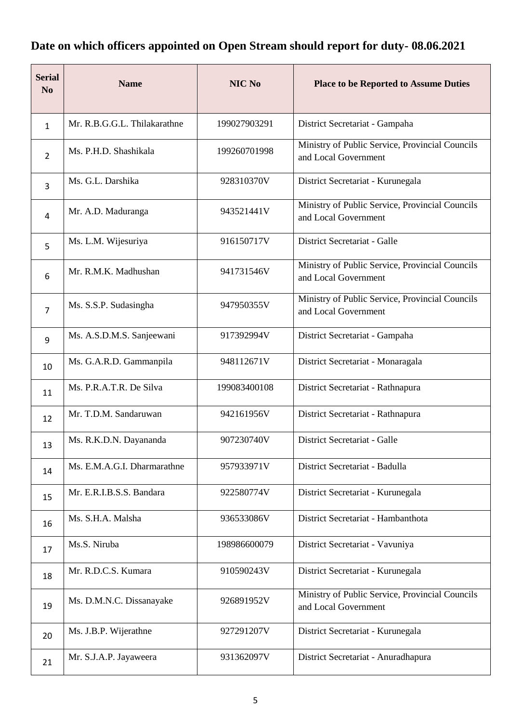## **Date on which officers appointed on Open Stream should report for duty- 08.06.2021**

| <b>Serial</b><br>N <sub>0</sub> | <b>Name</b>                  | NIC No       | <b>Place to be Reported to Assume Duties</b>                            |
|---------------------------------|------------------------------|--------------|-------------------------------------------------------------------------|
| $\mathbf{1}$                    | Mr. R.B.G.G.L. Thilakarathne | 199027903291 | District Secretariat - Gampaha                                          |
| $\overline{2}$                  | Ms. P.H.D. Shashikala        | 199260701998 | Ministry of Public Service, Provincial Councils<br>and Local Government |
| 3                               | Ms. G.L. Darshika            | 928310370V   | District Secretariat - Kurunegala                                       |
| 4                               | Mr. A.D. Maduranga           | 943521441V   | Ministry of Public Service, Provincial Councils<br>and Local Government |
| 5                               | Ms. L.M. Wijesuriya          | 916150717V   | District Secretariat - Galle                                            |
| 6                               | Mr. R.M.K. Madhushan         | 941731546V   | Ministry of Public Service, Provincial Councils<br>and Local Government |
| $\overline{7}$                  | Ms. S.S.P. Sudasingha        | 947950355V   | Ministry of Public Service, Provincial Councils<br>and Local Government |
| 9                               | Ms. A.S.D.M.S. Sanjeewani    | 917392994V   | District Secretariat - Gampaha                                          |
| 10                              | Ms. G.A.R.D. Gammanpila      | 948112671V   | District Secretariat - Monaragala                                       |
| 11                              | Ms. P.R.A.T.R. De Silva      | 199083400108 | District Secretariat - Rathnapura                                       |
| 12                              | Mr. T.D.M. Sandaruwan        | 942161956V   | District Secretariat - Rathnapura                                       |
| 13                              | Ms. R.K.D.N. Dayananda       | 907230740V   | District Secretariat - Galle                                            |
| 14                              | Ms. E.M.A.G.I. Dharmarathne  | 957933971V   | District Secretariat - Badulla                                          |
| 15                              | Mr. E.R.I.B.S.S. Bandara     | 922580774V   | District Secretariat - Kurunegala                                       |
| 16                              | Ms. S.H.A. Malsha            | 936533086V   | District Secretariat - Hambanthota                                      |
| 17                              | Ms.S. Niruba                 | 198986600079 | District Secretariat - Vavuniya                                         |
| 18                              | Mr. R.D.C.S. Kumara          | 910590243V   | District Secretariat - Kurunegala                                       |
| 19                              | Ms. D.M.N.C. Dissanayake     | 926891952V   | Ministry of Public Service, Provincial Councils<br>and Local Government |
| 20                              | Ms. J.B.P. Wijerathne        | 927291207V   | District Secretariat - Kurunegala                                       |
| 21                              | Mr. S.J.A.P. Jayaweera       | 931362097V   | District Secretariat - Anuradhapura                                     |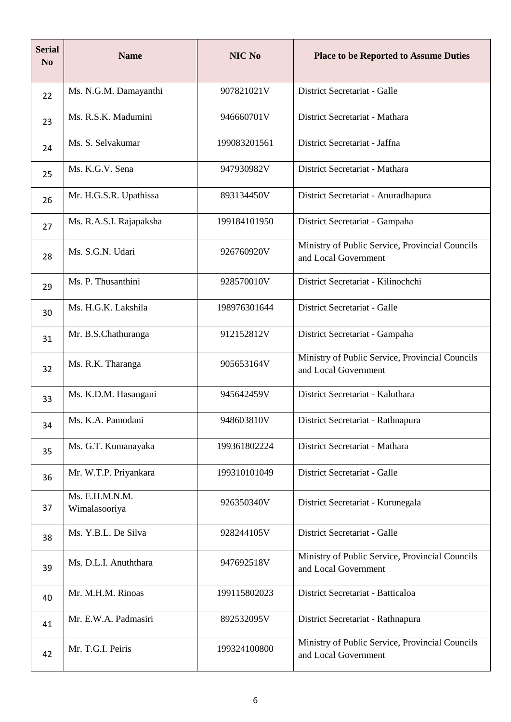| <b>Serial</b><br>N <sub>0</sub> | <b>Name</b>                     | <b>NIC No</b> | <b>Place to be Reported to Assume Duties</b>                            |
|---------------------------------|---------------------------------|---------------|-------------------------------------------------------------------------|
| 22                              | Ms. N.G.M. Damayanthi           | 907821021V    | District Secretariat - Galle                                            |
| 23                              | Ms. R.S.K. Madumini             | 946660701V    | District Secretariat - Mathara                                          |
| 24                              | Ms. S. Selvakumar               | 199083201561  | District Secretariat - Jaffna                                           |
| 25                              | Ms. K.G.V. Sena                 | 947930982V    | District Secretariat - Mathara                                          |
| 26                              | Mr. H.G.S.R. Upathissa          | 893134450V    | District Secretariat - Anuradhapura                                     |
| 27                              | Ms. R.A.S.I. Rajapaksha         | 199184101950  | District Secretariat - Gampaha                                          |
| 28                              | Ms. S.G.N. Udari                | 926760920V    | Ministry of Public Service, Provincial Councils<br>and Local Government |
| 29                              | Ms. P. Thusanthini              | 928570010V    | District Secretariat - Kilinochchi                                      |
| 30                              | Ms. H.G.K. Lakshila             | 198976301644  | District Secretariat - Galle                                            |
| 31                              | Mr. B.S.Chathuranga             | 912152812V    | District Secretariat - Gampaha                                          |
| 32                              | Ms. R.K. Tharanga               | 905653164V    | Ministry of Public Service, Provincial Councils<br>and Local Government |
| 33                              | Ms. K.D.M. Hasangani            | 945642459V    | District Secretariat - Kaluthara                                        |
| 34                              | Ms. K.A. Pamodani               | 948603810V    | District Secretariat - Rathnapura                                       |
| 35                              | Ms. G.T. Kumanayaka             | 199361802224  | District Secretariat - Mathara                                          |
| 36                              | Mr. W.T.P. Priyankara           | 199310101049  | District Secretariat - Galle                                            |
| 37                              | Ms. E.H.M.N.M.<br>Wimalasooriya | 926350340V    | District Secretariat - Kurunegala                                       |
| 38                              | Ms. Y.B.L. De Silva             | 928244105V    | District Secretariat - Galle                                            |
| 39                              | Ms. D.L.I. Anuththara           | 947692518V    | Ministry of Public Service, Provincial Councils<br>and Local Government |
| 40                              | Mr. M.H.M. Rinoas               | 199115802023  | District Secretariat - Batticaloa                                       |
| 41                              | Mr. E.W.A. Padmasiri            | 892532095V    | District Secretariat - Rathnapura                                       |
| 42                              | Mr. T.G.I. Peiris               | 199324100800  | Ministry of Public Service, Provincial Councils<br>and Local Government |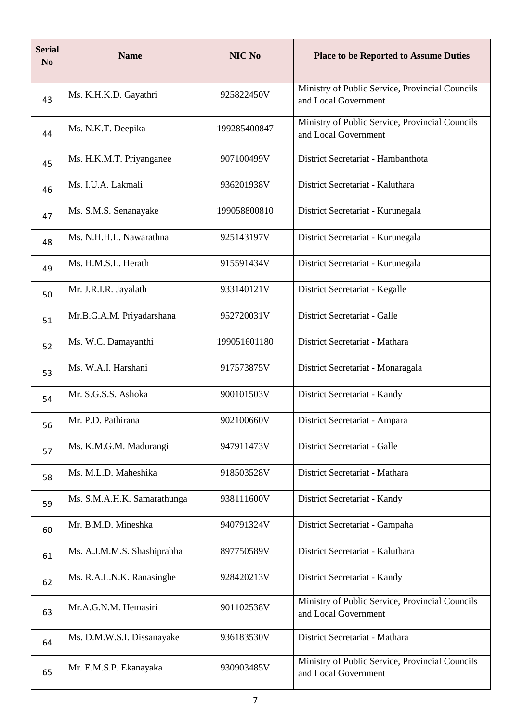| <b>Serial</b><br>N <sub>0</sub> | <b>Name</b>                 | NIC No       | <b>Place to be Reported to Assume Duties</b>                            |
|---------------------------------|-----------------------------|--------------|-------------------------------------------------------------------------|
| 43                              | Ms. K.H.K.D. Gayathri       | 925822450V   | Ministry of Public Service, Provincial Councils<br>and Local Government |
| 44                              | Ms. N.K.T. Deepika          | 199285400847 | Ministry of Public Service, Provincial Councils<br>and Local Government |
| 45                              | Ms. H.K.M.T. Priyanganee    | 907100499V   | District Secretariat - Hambanthota                                      |
| 46                              | Ms. I.U.A. Lakmali          | 936201938V   | District Secretariat - Kaluthara                                        |
| 47                              | Ms. S.M.S. Senanayake       | 199058800810 | District Secretariat - Kurunegala                                       |
| 48                              | Ms. N.H.H.L. Nawarathna     | 925143197V   | District Secretariat - Kurunegala                                       |
| 49                              | Ms. H.M.S.L. Herath         | 915591434V   | District Secretariat - Kurunegala                                       |
| 50                              | Mr. J.R.I.R. Jayalath       | 933140121V   | District Secretariat - Kegalle                                          |
| 51                              | Mr.B.G.A.M. Priyadarshana   | 952720031V   | District Secretariat - Galle                                            |
| 52                              | Ms. W.C. Damayanthi         | 199051601180 | District Secretariat - Mathara                                          |
| 53                              | Ms. W.A.I. Harshani         | 917573875V   | District Secretariat - Monaragala                                       |
| 54                              | Mr. S.G.S.S. Ashoka         | 900101503V   | District Secretariat - Kandy                                            |
| 56                              | Mr. P.D. Pathirana          | 902100660V   | District Secretariat - Ampara                                           |
| 57                              | Ms. K.M.G.M. Madurangi      | 947911473V   | District Secretariat - Galle                                            |
| 58                              | Ms. M.L.D. Maheshika        | 918503528V   | District Secretariat - Mathara                                          |
| 59                              | Ms. S.M.A.H.K. Samarathunga | 938111600V   | District Secretariat - Kandy                                            |
| 60                              | Mr. B.M.D. Mineshka         | 940791324V   | District Secretariat - Gampaha                                          |
| 61                              | Ms. A.J.M.M.S. Shashiprabha | 897750589V   | District Secretariat - Kaluthara                                        |
| 62                              | Ms. R.A.L.N.K. Ranasinghe   | 928420213V   | District Secretariat - Kandy                                            |
| 63                              | Mr.A.G.N.M. Hemasiri        | 901102538V   | Ministry of Public Service, Provincial Councils<br>and Local Government |
| 64                              | Ms. D.M.W.S.I. Dissanayake  | 936183530V   | District Secretariat - Mathara                                          |
| 65                              | Mr. E.M.S.P. Ekanayaka      | 930903485V   | Ministry of Public Service, Provincial Councils<br>and Local Government |